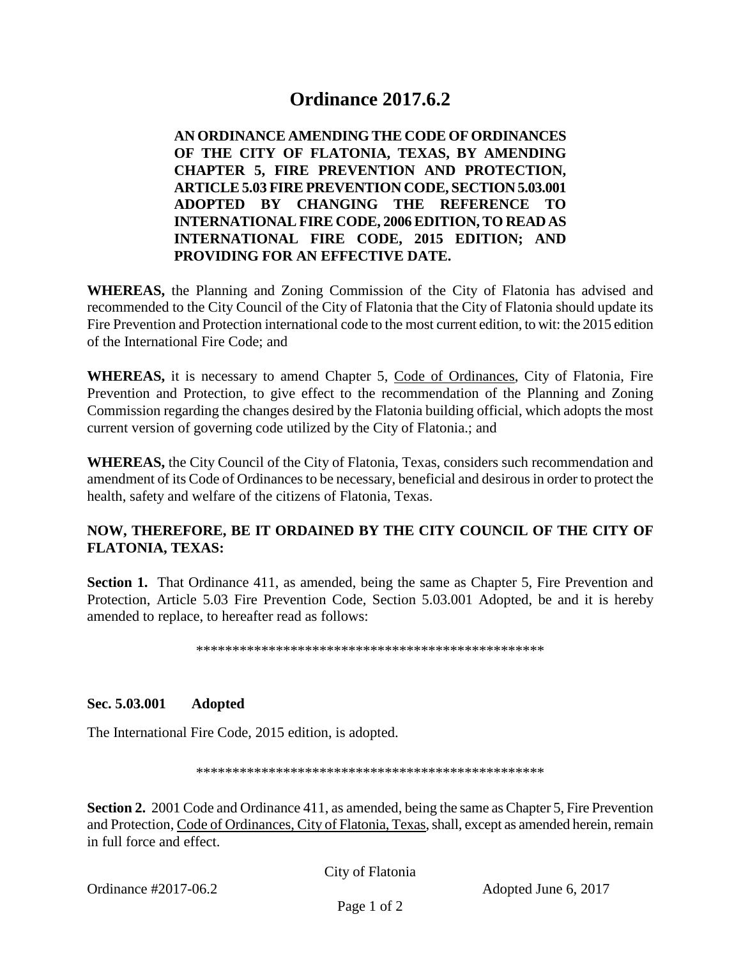## **Ordinance 2017.6.2**

**AN ORDINANCE AMENDING THE CODE OF ORDINANCES OF THE CITY OF FLATONIA, TEXAS, BY AMENDING CHAPTER 5, FIRE PREVENTION AND PROTECTION, ARTICLE 5.03 FIRE PREVENTION CODE, SECTION 5.03.001 ADOPTED BY CHANGING THE REFERENCE TO INTERNATIONAL FIRE CODE, 2006 EDITION, TO READ AS INTERNATIONAL FIRE CODE, 2015 EDITION; AND PROVIDING FOR AN EFFECTIVE DATE.**

**WHEREAS,** the Planning and Zoning Commission of the City of Flatonia has advised and recommended to the City Council of the City of Flatonia that the City of Flatonia should update its Fire Prevention and Protection international code to the most current edition, to wit: the 2015 edition of the International Fire Code; and

**WHEREAS,** it is necessary to amend Chapter 5, Code of Ordinances, City of Flatonia, Fire Prevention and Protection, to give effect to the recommendation of the Planning and Zoning Commission regarding the changes desired by the Flatonia building official, which adopts the most current version of governing code utilized by the City of Flatonia.; and

**WHEREAS,** the City Council of the City of Flatonia, Texas, considers such recommendation and amendment of its Code of Ordinances to be necessary, beneficial and desirous in order to protect the health, safety and welfare of the citizens of Flatonia, Texas.

## **NOW, THEREFORE, BE IT ORDAINED BY THE CITY COUNCIL OF THE CITY OF FLATONIA, TEXAS:**

**Section 1.** That Ordinance 411, as amended, being the same as Chapter 5, Fire Prevention and Protection, Article 5.03 Fire Prevention Code, Section 5.03.001 Adopted, be and it is hereby amended to replace, to hereafter read as follows:

\*\*\*\*\*\*\*\*\*\*\*\*\*\*\*\*\*\*\*\*\*\*\*\*\*\*\*\*\*\*\*\*\*\*\*\*\*\*\*\*\*\*\*\*\*\*\*\*

**Sec. 5.03.001 Adopted**

The International Fire Code, 2015 edition, is adopted.

\*\*\*\*\*\*\*\*\*\*\*\*\*\*\*\*\*\*\*\*\*\*\*\*\*\*\*\*\*\*\*\*\*\*\*\*\*\*\*\*\*\*\*\*\*\*\*\*

**Section 2.** 2001 Code and Ordinance 411, as amended, being the same as Chapter 5, Fire Prevention and Protection, Code of Ordinances, City of Flatonia, Texas, shall, except as amended herein, remain in full force and effect.

City of Flatonia

Ordinance #2017-06.2 Adopted June 6, 2017